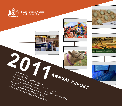

Presenter of the:

 $\begin{array}{l} \n \Delta \ A_{\sf C} t_{\sf C} w_{\sf A} \epsilon_{\sf L} \ R_{\sf O} \rho_{\sf A} \end{array}$ <br>  $\begin{array}{l} \n \Delta \ a_{\sf n} \ b_{\sf n} \ w_{\sf n} \ b_{\sf h} \end{array}$ <br>  $\begin{array}{l} \n \Gamma \ a_{\sf n} b_{\sf c} \ r_{\sf a} \ r_{\sf n} \ r_{\sf n} \ r_{\sf n} \ r_{\sf n} \end{array}$   $\begin{array}{l} \n \Gamma \ b_{\sf n} \end{array}$   $\begin{array}{l} \n \Gamma \ b_{\sf n} \$ 

Presenter of the Contract of the Contract of the Contract of the Contract of the Contract of the Contract of the Contract of the Contract of the Contract of the Contract of the Contract of the Contract of the Contract of t

> ActewAGL Canberra Notional Wine Show<br>Royal Canberra Regional Wine Show<br>Royal Canberra Regional Wine Show of A<br>Canberra National Poultry Caravan,

> Royal Canberra Extra Virgin Olive Oil Show

 $\begin{array}{l} \triangleq D_{a_D} \sim_{\mathcal{A}} G_L \sim_{\mathcal{A}} G_R, \ \mathcal{C}_{a_D} \sim_{\mathcal{A}} G_L \sim_{\mathcal{A}} G_{a_D} \sim_{\mathcal{A}} G_R, \ \mathcal{C}_{a_D} \sim_{\mathcal{A}} G_L \sim_{\mathcal{A}} G_R \sim_{\mathcal{A}} G_L \sim_{\mathcal{A}} G_R \sim_{\mathcal{A}} G_R \sim_{\mathcal{A}} G_R \sim_{\mathcal{A}} G_R \sim_{\mathcal{A}} G_R \sim_{\mathcal{A}} G_R \sim_{\mathcal{A}} G_R \sim_{\mathcal{A}} G_R \sim_{\$ 

> Dan Murphy's National Wine Show of Australia The Show Canberra Regional Wine Show of Australia The Show of Australia The Show of Australia The Show of Australia The Show Wine Show WD & Ca

S Canberra Times Home, Leisure, Carof Australia Theory Canberra National Wine Show<br>
Noyal Canberra Nome, Leisure, Carof Australia Theory Canberra National Wine Show<br>
Oyal Canberra National Wine Show<br>
Canberra Kational Wine

ast Gipps

### Royal National Capital Agricultural Society





**ANNUAL REPORT**



s rais a more than \$15 8 million for flo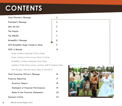# **CONTENTS**

| Chief Minister's Message                                  | 3  |
|-----------------------------------------------------------|----|
| President's Message                                       | 4  |
| Who We Are                                                | 5  |
| The People                                                | 6  |
| The RNCAS                                                 | 7  |
| ActewAGL's Message                                        | 8  |
| 2011 ActewAGL Royal Canberra Show                         | 9  |
| 2010 in Review                                            | 13 |
| Royal Canberra National Poultry Show                      |    |
| Royal Canberra Extra Virgin Olive Oil Show                |    |
| ActewAGL Canberra Regional Wine Show                      |    |
| Canberra Times Home, Leisure, Caravan, 4WD & Camping Show |    |
| Dan Murphy's National Wine Show of Australia <sup>™</sup> |    |
| Chief Executive Officer's Message                         | 16 |
| <b>Financial Reporting</b>                                | 17 |
| Directors' Report                                         | 18 |
| Statement of Financial Performance                        | 19 |
| Notes to the Financial Statements                         | 20 |

**Sponsors Listing 23**

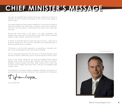# **CHIEF MINISTER'S MESSAGE**

Each year the ActewAGL Royal Canberra Show gives Canberrans the chance to celebrate the skills, activities and produce of the rural and urban people of the ACT region.

From wood chopping and show jumping competitions, to horticultural production and animal husbandry, the Show builds on Canberra's strong rural connections, offering an exciting program of entertainment that draws record crowds year after year.

Bringing the annual Show to the public is no small achievement, with responsibilities carried by the 10 paid and more than 1000 voluntary committee members, judges, stewards, grounds and office staff.

As Patron of the Royal National Capital Agricultural Society, I would like to thank the volunteers for their time and commitment and congratulate them on delivering another Show to remember.

The Society is a not-for-profit organisation, so sponsorship is invaluable, and I want to also acknowledge the major event sponsor ActewAGL.

The ACT Government appreciates the hard work of the Royal National Capital Agricultural Society in delivering a suite of successful events for the ACT region.

Thanks to the Society, Canberrans can enjoy the ActewAGL Royal Canberra National Poultry Show, the Dan Murphy's National Wine Show of Australia<sup>™</sup>, ActewAGL Canberra Regional Wine Show, Royal Canberra Extra Virgin Olive Oil Show, and the biggest agricultural event of the year, the ActewAGL Royal Canberra Show.

Congratulations to the Board members, employees, volunteers and sponsors for your significant and sustained contribution to the community life of Canberrans.

aline

Jon Stanhope MLA

*Jon Stanhope MLA*

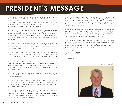# **PRESIDENT'S MESSAGE**

What a splendid success the last 12 months have been. Of my four years as President of the Royal National Capital Agricultural Society this has been the most successful year yet. It was the year when all our efforts from previous years finally came together and we conducted the whole range of our events exceptionally well. My thanks to the general public for their continued support of our efforts to bring the country to them each year.

Last year I listed a number of events that had a significant impact on the Society - one of these being the extreme drought conditions experienced over the past decade. The drought is well and truly behind us and the agricultural exhibits at our flagship event, the ActewAGL Royal Canberra Show, certainly reflected that. The exhibits presented for judging were of the highest number and quality seen in years.

The cattle numbers increased significantly, with the Murray Grey breed being the feature breed. The sheep, goat and alpaca sections had top quality entries, while the wool section has continued to expand since its relocation and this year it had a record number of top quality fleeces.

The ever popular horse section once again ran efficiently with competitors travelling from most States in Australia. To be able to run nine horse judging rings simultaneously as well as showjumping creates a wonderful spectacle and is a credit to the team involved.

The new look Harvest Hall with its vibrant colours, efficient layouts and superb floral exhibits captured the imagination of the 2011 crowds. The cooking displays were extremely popular and well supported, particularly by a number of the local schools. It is encouraging to see such enthusiastic participation from the younger generation.

The art and the craft sections were hugely popular and these sections continue to surprise with their ability to devise new ways to display art and craft exhibits to their best advantage.

The purebred dog section defies the decline in registrations by continuing to increase its entries. Another hugely popular section with our junior visitors is of course the ActewAGL Farmyard Nursery. What a sight to see all our young patrons and baby animals interacting!

The entertainment around the ground and on the Main Arena was world class, with the highlight this year being the Canadian Lumberjacks. The tried and true family style entertainment of Racing and Diving Pigs and the Animal Wranglers received positive comments and of course the Freestyle Motocross and the Hilux Heroes are always a huge crowd favourite.

Throughout the calendar year the Society conducts two wine shows - the ActewAGL Canberra Regional Wine Show and the Dan Murphy's National Wine Show of Australia<sup>TM</sup>. Both of these standalone events received an increase in entries. There were some superb trophy winning wines. As well as this the Society also conducts the Royal Canberra Extra Virgin Olive Oil Show, which features interstate and local oils.

As President, I am grateful for the continuing sponsorship from ActewAGL, our major sponsor. I also value the support of the ACT Government and the EPC Board who manage Exhibition Park. The continual upgrading of Exhibition Park contributes to the overall success of our events. To all our other sponsors and trade exhibitors, we appreciate and value your ongoing support.

I conclude by offering my congratulations to the Board, Councillors, Volunteers and Staff who collectively make our events happen. We are committed to our Agricultural aims and recognise the need to manage our Society as a business enterprise while preserving our volunteer not for profit status. I hope to see you all at the 2012 ActewAGL Roual Canberra Show.

Rod Cromption

*Rod Crompton*

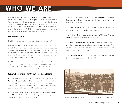# **WHO WE ARE**

The **Royal National Capital Agricultural Society** (RNCAS) is a not-for-profit organisation. It originated from the Ginninderra Farmers' Union, which was established in 1905 to aid district land owners in improving their farming methods with the introduction of scientific ideas. Our first show was held in 1927. Some 82 annual shows later, the RNCAS continues to support and promote agriculture through events, competition and education.

### **Our Organisation**

The RNCAS comprises a board, council, members and staff.

The RNCAS Board provides leadership and direction to the organisation. The Council of 60 provides advice and manages 23 different committees. This is supplemented throughout the year by members, judges and stewards who total around 1,000. These volunteers bring a wealth of expertise in a diverse range of rural, business and professional pursuits.

The RNCAS has a team of ten full time staff who manage the dayto-day affairs of the Society. Our staff are drawn from a variety of backgrounds including agriculture, event management, sales, marketing, financial services, administration and management.

### **We Are Responsible for Organising and Staging**

> The Australian Capital Territory's largest all ages event, the **ActewAGL Royal Canberra Show**, which brings to the National Capital the best the country has to offer in agricultural competitions. To that we add arts and crafts, entertainment, commercial exhibits, carnival rides and show bags.

> The Nation's premier wine show, the **Dan Murphy's National Wine Show of AustraliaTM**, an annual competition to recognise and reward excellence in Australian wines. *Mr Ian Sinclair MHR opening one of the early Shows at Canberra Showground*

- > The district's leading wine show, the **ActewAGL Canberra Regional Wine Show**, a competition designed to improve the quality of local wines.
- > The **Royal Canberra Extra Virgin Olive Oil Show**, which supports an emerging Australian agricultural industry.
- > The **Canberra Times Home, Leisure, Caravan, 4WD and Camping Show**, the number one consumer show in ACT.
- > The **Royal Canberra National Poultry Show** is held annually on a local level and on a national scale every four years. The national show is regarded as the best weekend in the Southern Hemisphere for poultry fanciers.
- > The **Education Days** and Programs provide opportunities for learning and acquiring agricultural skills.

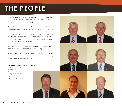# **THE PEOPLE**

Board meetings were held on eleven occasions during the year. Council meetings were held in July, August, October, December, February, March and May.

At the AGM in June for the first time in many years, there was no need for a ballot for any of the positions. Mr Rod Crompton was the only nomination and was consequently elected as President for the next three years. Mr Stephen Beer was elected as Vice President. Mr Michael Kennedy was elected to the Board, along with Ms Kathleen Harvey, who filled the vacancy left by Mr David Metcalf.

Two new councillors were elected. They were Ms Bronwyn Jekyll and former Board member Mrs Su McCluskey.

A meritorious certificate was awarded to Mrs Pat Bowden in acknowledgment of over 20 years' outstanding voluntary contribution to the Dog Section.

### *Board Members (Left to right, top to bottom):*

- *> Mr Rodney A. Crompton*
- *> Stephen E. Beer*
- *> Dennis W. Algie*
- *> Frank C. Wommelsdorff*
- *> Michael B. Kennedy*
- *> Kathleen A. M. Harvey*
- *> Stephen M. Dobbie*







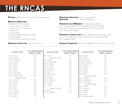# **THE RNCAS**

**Patron<sup>&</sup>gt;** Chief Minister of the ACT - Mr Jon Stanhope MLA

## **Board of Directors**

- > President Mr R.A. Crompton
- > Vice-President Mr S.E. Beer
- > Treasurer Mr F.C. Wommelsdorff
- > Mr D.W. Algie
- > Mr S.M. Dobbie
- > Ms K.A.M. Harvey (elected 29 Jun 2010)
- > Mr M.B. Kennedy
- > Mr D.S. Metcalf (resigned 29 Jun 2010)

## **Honorary Solicitor <sup>&</sup>gt;** Mr D. Hanstein, LL.B

### **HONORARY ARCHITECT** > Mr J. Antoniak, ARAIA<br>**AUDITORS** > RSM Bird Cameron **Auditors<sup>&</sup>gt;** RSM Bird Cameron

**HONORARY LIFE MEMBERS** > Ms M.M. Wheatley (1980), Dr E.F. Riek OAM (1982), Mr F.L. Coonan (1983), Mr W.J. Moore (1993), Mr S.E. Beer (2000), Mr R.A. Kennedy (2003), Mr D.W. Algie (2007), Mr F.C. Wommelsdorff (2009)

**Honorary Councillors<sup>&</sup>gt;** Mr K.J. Keith (1996), Mr B. Champion (1996), Mr V.J. Court (1999), Mr E.A. Carnall OAM (2002), Mrs E. Robinson (2008), Mr P. Trenoweth (2008)

**Finance Committee <sup>&</sup>gt;**Mr F.C. Wommelsdorff, Mr B. Litchfield, Mrs S. White

| Re-Election 2011      | <b>Council Meetings Attended</b><br>(eligible in brackets) | Re-Election 2012      | <b>Council Meetings Attended</b><br>(eligible in brackets) | Re-Election 2013      | <b>Council Meetings Attended</b><br>(eligible in brackets) |
|-----------------------|------------------------------------------------------------|-----------------------|------------------------------------------------------------|-----------------------|------------------------------------------------------------|
| Mr J.G. Allan         | 4(7)                                                       | Mr B. Allan           | 4(6)                                                       | Mr D.W. Algie         | 7(7)                                                       |
| Mr I. Barklamb        | 6(7)                                                       | (elected 29 Jun 2010) |                                                            | Mr S.E. Beer          | 6(7)                                                       |
| Mr A.G. Chesworth     | 7(7)                                                       | Ms M. Barnes          | 2(7)                                                       | Mr J.M. Corcoran      | 4(7)                                                       |
| Mr F.L. Coonan        | 5(7)                                                       | Mr R.W. Buckmaster    | 5(7)                                                       | Mr R.A. Crompton      | 5(7)                                                       |
| Mr M. Corkhill        | 5(7)                                                       | Mr F.A. Cooke         | 7(7)                                                       | Mrs M.L. Davis OAM    | 5(7)                                                       |
| Mr G. Grinter         | 1(7)                                                       | Mrs L.E. Cooke        | 7(7)                                                       | Mr P. Dingwall        | (1, 17)                                                    |
| Mr P. Harvey          | 2(7)                                                       | Mrs S Coulton         | 4(7)                                                       | Mrs J. Duffy          | 5 (7)                                                      |
| Mrs J. James          | 4(7)                                                       | Mr S.M. Dobbie        | 5(7)                                                       | Mrs D. Frater         | 5(7)                                                       |
| Mr M.B. Kennedy       | 6(7)                                                       | Ms A. Farr            | 3(7)                                                       | Mr. C. Hunter         | 6(7)                                                       |
| Mr R.W. McCluskey     | 6(7)                                                       | Ms K.A.M. Harvey      | 5(7)                                                       | Ms B. Jekyll          | 6(6)                                                       |
| Ms L.J. McGrath-Jones | 6 (7)                                                      | Mr D. Hyde            | 6(7)                                                       | (elected 29 Jun 2010) |                                                            |
| Iresigned 1 Mar 2011  |                                                            | Ms S.M. Locke         | 1(7)                                                       | Mr B. Litchfield      | 5(7)                                                       |
| Mr D.C. Metcalf       | 6(7)                                                       | Mr C.T. Merriman      | 3(7)                                                       | Mrs U. Macdermott     | 5(7)                                                       |
| Mr A.J. Moore         | 3(7)                                                       | Mr W.I. Moore         | 5(7)                                                       | Mrs S. McCluskey      | 4(6)                                                       |
| Ms S. Nielson         | 4(7)                                                       | Mr J. Payne           | 2(7)                                                       | (elected 29 Jun 2010) |                                                            |
| Ms M. Norris          | 3(7)                                                       | Ms T. Praff           | 3(4)                                                       | Mr D. McPhie          | 4(7)                                                       |
| Mr A.J. Price         | 3(7)                                                       | (elected 13 Oct 2010) |                                                            | Mr B.J. Patterson     | 6(7)                                                       |
| Mr G.J. Skaines       | 2(7)                                                       | Mr M. Spira           | 1(7)                                                       | Mrs D. Riddell        | 5(7)                                                       |
| Mrs S.L. Tillack      | 1(7)                                                       | Mr P.A. Walmsley      | 6(7)                                                       | Mr A.L.White          | 4(7)                                                       |
| Mrs K. White          | 4(7)                                                       |                       |                                                            | Mrs D. White          | 5(7)                                                       |
| Mrs S. White          | 7(7)                                                       |                       |                                                            | Mr F.C. Wommelsdorff  | 5(7)                                                       |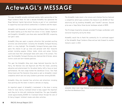# **ActewAGL's MESSAGE**

This year ActewAGL proudly continued naming rights sponsorship of the Royal Canberra Show. For over a decade ActewAGL has sponsored the Royal National Capital Agricultural Society as part of our commitment to supporting local agricultural communities in Canberra and the region.

ActewAGL sold thousands of entry tickets and Bonus Dollar Coupons in the weeks leading up to the show from stores in Civic, Woden, Fyshwick and Gungahlin. ActewAGL's pre-show sales reached \$64,000, surpassing last year's sales.

ActewAGL Alley was again a popular attraction that provided exciting activities and entertainment, including the ActewAGL Farmyard Nursery which is a key highlight. The ActewAGL Farmyard Nursery gave showgoers the chance to get up close and personal with their favourite animals including puppies, kittens, lambs, chicks and calves. Visitors could even have their photograph taken with some of the animals. This year the ActewAGL Farmyard Nursery also featured Ask-A-Farmer, where visitors could ask farm-related questions.

This year the ActewAGL Alley main stage featured favourites like Dr Harry, the National Zoo and Aquarium and Milo the Clown, providing education and entertainment for the whole family. With a focus on local performances, the main stage hosted the Warehouse Circus, Yass High School band and The Salvation Army band as well as ActewAGL's talent completion which saw one lucky Canberra performer winning \$3,000.

ActewAGL Alley also boasted free activities and attractions including face-painting and the latest in electric vehicles on display.

An important aspect of ActewAGL's involvement in the show is raising funds for local charity, Cranleigh School to help support the important work they do for kids with intellectual disabilities. This year ActewAGL raised approximately \$3,800 for Cranleigh School through the sale of Dr Harry Coopers' children's books and other activities.

The ActewAGL trade stand in the Leisure and Lifestule Pavilion featured a competition which gave customers the chance to win \$1,000 off their electricity bill by bundling ActewAGL and TransACT services. Second prize was a Vega Delux three-burner barbeque valued at \$599.

The Privileges hospitality marquee provided Privileges cardholders with exclusive hospitality during the Show.

ActewAGL would like to thank the community for its continued support of the ActewAGL Royal Canberra Show and we look forward to another fantastic event in 2012.



*ActewAGL Alley's main stage featured local performances including youth acts from the Warehouse Circus.*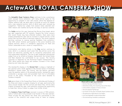# **ActewAGL ROYAL CANBERRA SHOW**

The **ActewAGL Royal Canberra Show** continues to be a prestigious event amongst horse exhibitors, with many entries vying for the opportunity to compete in over 350 classes. Whilst the demand for stables remains high, we were able to provide an extra 52 stables and a new camping location, both of which were well received by competitors. Twenty-four judges from several states awarded over 1500 ribbons and rosettes during the five days of glorious sunshine.

The **Cattle** section this year featured the Murray Grey breed, which was well supported with 137 exhibits. Despite the initial concern that recent floods may have affected numbers, there were more breeds exhibited this year and an increase in overall entries, to the extent that facilities were at maximum capacity. The onsite camping facilities continue to receive positive feedback from exhibitors. Over 600 school children participated in the junior handling and judging sections, which is a wonderful opportunity for them and fosters camaraderie and a sense of responsibility.

Conformation and Agility entries in the **Dog** section continue to grow, which is a pleasing result given that dog entries across the board are declining, possibly due to increasing urbanisation and local government legislation. The use of well respected international judges from as far afield as Hungary, Switzerland, the United States and New Zealand has contributed to our success. The Society continues to negotiate for the Australian Flyball Championships in 2012, which would also likely see numbers increase in this crowd pleasing and lively dog event.

The Woolworths display in the **Harvest Hall** is always a highlight of this pavilion and a book opened at the second stanza of Dorothea Mackellar's famous poem "My Country" was the feature, pertinent given the weather events of the preceding months. Woolworths again conducted a sausage sizzle and provided fresh fruit at affordable prices to the public. Proceeds of the sizzle were donated to Canberra Hospital.

**Cats** were shown in the Snowy River Room on Saturday and Sunday of the Show and remain a popular display for all ages, particularly the more unusual breeds like the Cornish and Devon Rex. Entries were slightly increased this year, with exhibitors enjoying the opportunity to show their feline friends to judges from further afield.

The **Canberra Times Craft Expo** received in excess of 1100 exhibits, some of whom were lucky enough to be housed in the new cabinets. These arrived the day before the Show and contributed to the success of the colourful and unique array of items on display.



### *Photo (Left to right, top to bottom):*

- *> Harness Racing at the Main Arena*
- *> Demolition Derby, the smashing close of the Show*
- *> A fine exhibit competes in Horse in Action*
- *> The ever popular Pig Racings*
- *> Cat shown at this year's ActewAGL Royal Canberra Show*
- *> The glamorous High Velocity Trick Riders*
- *> Fruit and Vegetable Sculpture Bondi Beet*
- *> The entertaining Canadian Lumberjacks*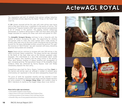# **ActewAGL ROYAL**

The imagination and skill of entrants from various cottage industries who submitted articles depicting the theme "Things of the Forest" was inspiring.

All **Art** classes received entries this year with some entries even being sold as they were being hung, a testament to the quality of entries. The beginning of "Towards Canberra 2013" was a great success and generated a lot of interest in this pavilion. This display involves comparison photographs of Canberra dating back to 1907 and there were nearly 80 images available for viewing this Show, with more anticipated for 2012.

The **ActewAGL Farmyard Nursery** continues to be a favourite with the number of visitors increasing this year. The opportunity for children and parents alike to come into close contact with a wide variety of animals often seen only on the farm is both informative and fun and may account for the many unattended strollers around the pavilion! This year the inclusion of "Ask-A-Farmer" was well received, with many interesting questions being asked and answered.

**Alpaca** fleece entries continue to increase with over 200 entries in the newly structured fleece competition. The alpaca section was relocated to the North of the Goat shed and on the bitumen pavement under marquees. This contributed to a dust free environment which suited both the alpacas, their handlers and the many visitors to the section. There were dynamic displays of alpaca handling and management of yarn, including spinning. The agricultural flavour of the ActewAGL Royal Canberra Show was enhanced by having Alpacas, Goat and Sheep immediately adjacent the main entry.

Competitions were held for Dairy, Angora, Cashmere and Boer **Goats** in this section and entries were up, although a number of exhibits were unfortunately not registered in time and were subsequently disqualified.

The price of lamb has escalated recently and has resulted in boom conditions for breeders of British breed sheep and this helped maintain our entry numbers in the **Westpac Sheep Show**. With numbers close to 500 it maintains its mantle as the biggest sheep show in our district.

### *Photo (Left to right, top to bottom):*

*> A fine exhibit competes in Goat Section.*

- *> Alpaca shown at this year's ActewAGL Royal Canberra Show*
- *> Craft demonstration at the Canberra Times Craft Expo Pavilion*
- *> ActewAGL Alley, one of many popular destinations at the Show*

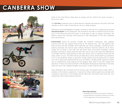# **CANBERRA SHOW**



Some of the finest Merino sheep were on display and this reflects the recent increase in the price of wool.

The **Yard Dog** competition was on hand nearby to educate and entertain the public with how valuable an asset a well trained dog can be on a sheep property.

Enthusiastic and knowledgeable volunteers continue to staff the four strategically positioned **Information Booths** on the showground. The information provided is collated from all sections prior to the Show and assists the public in many ways. As well as judging information, the booths provide free sunscreen and directions to the whereabouts of the next scheduled must-see attraction.

**Entertainment** around the grounds included the Canadian Lumberjacks, who swapped locations with the ever popular Racing Pigs at the eleventh hour. This new addition was both exciting and well attended, with traditional log rolling escapades, exploding toilets, duelling chainsaws and vertical pole climbing. Perennial favourite celebrity vet Dr Harry Cooper was on hand to chat with kids and adults alike and provide autographs. Animal Wranglers returned to amaze audiences with their antics and on the arena the HighVelocity Trick Riders had the crowd gasping at both their daring stunts on galloping horses and the lovely ladies in Lycra. The Hilux Heroes provided bonus arena entertainment by pretending to be in the Demolition Derby a day early. Sunday evening saw the destruction of eleven cars, two of which were determined not to go out without a lengthy battle. Equestrian events such as campdrafting, show jumping and tent pegging never seem to lose their appeal with spectators. A show record was achieved in the Bareback Showjumping Challenge on Saturday night with local rider Stephen Dingwall and Cavalier Cudose clearing 1.82 metres.

Show attendance was increased from the previous year with people staying longer which is evidence of the enduring popularity of agricultural shows where people are provided with a glimpse of agriculture, rural lifestyle and the significant contribution that farms and rural communities make toward shaping Australia.

### *Photo (Top to bottom):*

- *> The popular log rolling of the Canadian Lumberjacks*
- *> Freestyle Motocross continued to entertain the crowds*
- *> The first appearance of the Lawnmower Racers*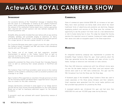# **ActewAGL ROYAL CANBERRA SHOW**

### **Sponsorship**

Our successful delivery of the "SmokeFree" message in Sideshow Alley had the result of a withdrawal of funding by ACT Health Promotions Grants. Whilst achieving the targeted outcome of a "SmokeFree" area the removal of this substantial funding meant more creative approaches were required with current sponsors and new methods employed for attracting potential ones.

ActewAGL Alley was better branded than ever before with an eye catching inflatable "gateway" and accessible display of SmartCars. Dr Harry, Cow Pat Bingo and "Ask-a-Farmer" in the Farmyard Nursery held patrons for a longer period of time and created interest for all ages.

Our Corporate Marquees were again a great success this year, attracting the Canberra Airport, ActewAGL and SNP, who broke client attendance records with over 100 guests.

The Tradies, one of our longest and best supporters, provided entertainment to patrons in the Tradies Central Park as well as improved facilities at the Club and accommodation for our judges at their refurbished Quality Hotel.

Woolworths promoted the Show online through their Everyday Rewards Card, as well as continuing their valued presence in Hort/Prod and Cattle.

The Canberra Times Craft Expo provided a great service to the creative members of the Canberra community as well as excellent promotion and coverage of our Show.

Again Canberra Milk supported our volunteers through provision of shirts for the Information Booth and Nestle Peters supported Senior's Day with free ice creams for the older community.

Westpac Agribusiness continued its solid support of our Sheep Section and the Murray Grey Society attracted Rabobank for the Cattle Feature Breed and as well as leveraging additional support for the McGrath Foundation.

A successful result was achieved with overall Sponsorship revenue of \$380,295.

### **Commercial**

Sales of commercial space totalled \$396,376, an increase on last year. Many more retail purchases are being made online which has meant traditional forms of advertising and promotion are declining. However displaying products and services at the Show gives the customer the opportunity to see the product first hand, look at a real demonstration or talk to human being face to face. This edge has helped the Society maintain this important source of revenue. Commercial traders pedalling their wares also adds an enjoyable aspect to the Show experience.

### **MARKETING**

An integrated marketing campaign was implemented to promote the ActewAGL Royal Canberra Show this year. Great publicity about the Show was generated during the campaign with news articles in print media, footage on television and interviews on radio stations.

More than 400 television commercials with five different stories were run over the two weeks leading to the Show. Local and regional radio stations were used to air 400 radio commercials. This year saw Mix 106.3 broadcast live from the Show over the three days.

A Facebook page of the ActewAGL Royal Canberra Show was used to create awareness of the Show among followers and their networks. Great responses were generated from this social media platform and that provided huge potential for promoting the Show.

A revamped website was introduced this year and had more than 6,820,000 hits and over 453,000 page views during February.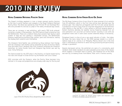# **2010 IN REVIEW**

### **Royal Canberra National Poultry Show**

The Queen's birthday weekend in June is known amongst poultry fanciers as the time to polish feathers and compete in the Royal Canberra National Poultry Show. The Show was opened by Chief Minister Mr Jon Stanhope MLA, who also provided his services as judge of the newly introduced egg classes.

There was an increase in new exhibitors, with nearly 1100 birds entered, including a number of Barnevelders, the 2010 feature breed originating from the Netherlands. These are a medium heavy dual purpose fowl laying a good number of eggs but also yielding a reasonable carcass. The Netherlands Embassy supported by providing flags, posters, pens and information, making the display both colourful and informative.

The Champion Hard Feather was exhibited by Doug Wallace from Orange, with the Champion Soft Feather being exhibited by Kevin & Kristine Adams from Darlington Point. Margaret Day from Carwoola exhibited the Champion Waterfowl, an Indian Runner Duck and Champion Egg Exhibit was won by local, Emily Patterson.

The feature breed for the 2011 show is the Dorking, an English breed having five toes and brought to Great Britain by the Romans and Julius Caesar.

2012 coincides with the Olympics, when the Poultry Show becomes truly national in its scope and preparations are already under way for the big one!

### **Royal Canberra Extra Virgin Olive Oil Show**

The 9th Royal Canberra Extra Virgin Olive Oil show received 43 oil exhibits from 20 exhibitors, which is the first time entries have declined over the previous year. This reduction corresponds with the first ever annual decline in production of Extra Virgin Olive Oil since the renaissance of the Australian olive industry in the mid 90's. It also reflects a difficult growing season in Eastern Australia whereby hot weather during flowering reduced fruit set and substantial rain occurred just before harvest resulting in oils with low polyphenol levels and in some cases caused unwanted delays in harvesting.

Polyphenol levels in olive oil are a very good indicator of style - the higher the level, the more robust the oil. The 2010 average relates to a mild to medium style of oil, coming in at 175mg/kg. Making vibrant oils in the mild style is challenging as attention to detail during processing and (particularly) storage is paramount.

Despite decreased entries, the exhibited oils were of a consistently good standard. Gold medal standard oils were awarded across most of the classes which suggests a consistent level of quality. The Champion Oil of the Show was won by Currawang Olives from Bowral, NSW, with a Frantoio variety.





*Logo of the 2012 Poultry Show, designed by Jessica Johnson Chairman of Judges Mr Richard Gawel (right) and Associate Judge Mr Marcus Dimabuyo judging the olive oil*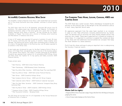# **2010**

## **ActewAGL Canberra Regional Wine Show**

The ActewAGL Canberra Regional Wine Show, a well established and successful part of the annual Australian wine show calendar, continues to attract quality entries.

The 2010 Show, held from 16 to 18 September, attracted 285 entries from 49 exhibitors. The judging panel was chaired by Ben Edwards, Co-President of Sommeliers Australia, author of The Wine Guide and a panel chair at the Dan Murphy's National Wine Show of Australia<sup>TM</sup>. He was assisted by Jim Chatto, winemaker at Pepper Tree Wines and a director of Alchemy Wine Consulting; and Mike Bennie, a freelance wine writer.

A total of 127 medals were awarded (45 percent of exhibits): 24 gold, 28 silver and 75 bronze confirming the high quality of exhibits. Eleven trophies were awarded. The Riesling and Shiraz classes were outstanding with 11 exhibits out of a total of 18 awarded medals in the Riesling class, and 18 medals awarded to 22 exhibits in the Shiraz class.

A new trophy was introduced this year for the Best Canberra District Shiraz in honour of Dr Edgar Riek, considered by many to be one of the founding fathers of the regional wine industry. The trophy is proudly sponsored by the RNCAS. Clonakilla was awarded three trophies for its outstanding 2009 Hilltops Shiraz and Helm Wines two trophies for its top quality and highly successful 2009 Premium Riesling.

Trophy winners were:

- \* Best Riesling 2009 Helm Wines Premium Riesling
- \* Best Chardonnay 2008 Barwang Estate Chardonnay
- \* Best Dry White Other Varieties 2009 Eden Road The Long Road RHE
- \* Best Dry White of Show 2009 Helm Wines Premium Riesling
- \* Best Shiraz 2009 Clonakilla Hilltops Shiraz
- \* Best Canberra District Shiraz 2009 Lark Hill Shiraz Viognier
- \* Best Cabernet and/or Merlot 2009 Pankhurst Cabernet Sauvignon
- \* Best Dry Red Other Varieties 2009 Centennial Vineyards Bong Bong Australian Red
- \* Best Dry Red of Show 2009 Clonakilla 2009 Hilltops Shiraz
- \* Champion Wine of Show 2009 Clonakilla Hilltops Shiraz
- \* Most Successful Exhibitor Barwang Estate

The 2011 Show will be held from 14 to 16 September at the Terrace Restaurant at Exhibition Park in Canberra.

### **The Canberra Times Home, Leisure, Caravan, 4WD and Camping Show**

The 2010 Show was a great success. Public attendance increased by ten percent on the previous year to the delight of the 350 exhibitors and as a result, many reported record sales.

An aggressive approach from the sales team resulted in an increase in sales of sites. New attractions including demonstrations by master chef Tim Muxlow and an exciting trial bike display helped attract and entertain the crowds. These were supported by a commercial display of motor bikes. It is important to continue to expand the commercial base of the show and find additional leisure/commercial concepts that keep the show relevant to a wide audience.

Profit from this show continues to play an important role in underpinning the Society's financial results.



**Photo (left to right):** > Regional Wine Show Associate Judge, Fergus McGhie from Mt Majura Vineyard, judging the wines

> One of many trade displays at the Home Show.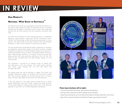# **IN REVIEW**

## **Dan Murphy's**

## **NATIONAL WINE SHOW OF ALISTRALIA**

The National Wine Show was very pleased to welcome Dan Murphy's as the naming rights sponsor for 2010. This Show was also the first Show following the retirement of Bill Moore after 31 years. Bill's leadership ensured that the Show became the most prestigious Australian wine show.

The Show also welcomed four new corporate partners to complement Oakton as major sponsors. These were: ACTEW Corporation, Fujitsu, TransACT and Yellow Edge. Without the generous sponsorship of all our sponsors, the Show would not be able to maintain the high standards necessary to remain at the forefront of Australian wine shows.

The new committee has maintained the Show's reputation for innovation and leadership, making many changes to the entry conditions. Changes included the introduction of single vineyard classes and a reduction in volume requirements across all classes, encouraging smaller wineries to enter. These changes resulted in an increase in entries by more than twenty percent with many exhibitors entering for the first time. The Show this year excluded wines from New Zealand, making it a truly national event.

The committee is assisted by an advisory panel of people with vast experience in the wine industry. The current panel comprises Tom Carson, James Halliday AM, Tim Kirk, Bill Moore and Dr Edgar Riek OAM.

The judging panel was led by chairman of judges Tom Carson, and included international judges Tim Wildman (UK) and Warren Gibson (NZ). The continuing reputation of the Show ensures that it is able to attract the best show judges from Australia and internationally.

It was very pleasing to see trophy winners spread across all States except Queensland, and across small, medium and large wineries. The Len Evans Memorial Trophy for Best Table Wine of the Show was awarded to Vasse Felix for its 2009 Heytesbury Chardonnay. **Photo (top to bottom, left to right):**



> The Len Evans Memorial Trophy, sponsored by Dan Murphy's

- > Mr Peter Nixon, National Fine Wine Manager at Dan Murphy's
- > Vasse Felix achieving the Len Evans Memorial Trophy for the Best Table Wine of the Show
- > Bay of Fires achieving the Best Dry Red Wine Trophy, sponsored by TransACT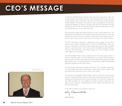# **CEO'S MESSAGE**

In 2011, the ActewAGL Royal Canberra Show retained its agricultural "feel". On arrival through our main gate, the public were presented with an array of farm animals alpacas, goats and sheep. It was the first time these animals had been located together. The logistics to achieve this were an example of the excellent cooperation between our sections, volunteers and staff. With the help of the Hall Rotary Club, who run the very successful Farmers Market, we were able to erect over 700 animal pens in just under four hours.

The agricultural theme was woven through our major entertainment acts. The Racing Pigs, the HighVelocity Trick Riders and the Animal Wranglers all featured animals found on our farms. The Canadian Lumberjacks were an entertaining off shoot of one of their country's major agricultural pursuits, the timber industry.

The ACT Government continued to demonstrate their support for the ACT's premier event complex Exhibition Park in the ACT's 2011/12 Budget. There will be major renovations of the Leisure and Lifestyle Pavilion plus a major upgrade and/or a new toilet block in the vicinity of the ActewAGL Farmyard Nursery, Yard Dogs and Cattle Area. Toilet block number four is over 50 years old and needs replacing or upgrading.

The 2011 ActewAGL Roual Canberra Show was one of the most popular shows in the last thirty three years. This was evidenced by our customers who enjoyed the perfect weather and the Show experience which meant they stayed much longer than previous years. This augured well for our food outlets, traders and Sideshow Alley who reported brilliant sales figures.

Our Dan Murphy's National Wine Show of Australia<sup>TM</sup> had its biggest sponsorship in its thirty three year history. The Canberra Times Home, Leisure, Caravan, 4WD & Camping Show continues to be our major profit centre.

This was my final ActewAGL Royal Canberra Show as CEO and I am leaving the Society in very good shape. We have a dedicated and professional team of staff members who now have all done at least two Shows. Our Councillors, Board and over 1000 volunteers all come together to produce wonderful events that are equal to any in Australia. I thank everyone for their support and teamwork over the past eleven years.

It has been an honour and privilege to serve you.

G. Cannock

Geoff Cannock

*Geoff Cannock*

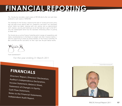# **FINANCIAL REPORTING**

The Society has recorded a small surplus of \$11,458 which after non-cash items produced a cash surplus of \$196.908.

The challenge for the Society is balancing the level of income particularly entry fees and gate prices against what our competitors and public can reasonably afford. Events are labour intensive with cost centres such as administration staff, cleaners, security and ticketing at an all time high due in part to the ACT's very low unemployment which has the inevitable inflationary effect of pushing up wage costs.

The Society has an active Finance Committee which reviews all expenditure and makes recommendations to the Board on budgets and other financial matters. I take this opportunity to thank my fellow members of the Finance Committee, Mr Ben Litchfield and Mrs Sue White, for their input over the past twelve months.

Frank Wommelsdorff

For the year ending 31 March 2011

## **FINANCIALS**

Directors' Report, Directors' Declaration, Auditor's Independence Declaration, Income Statement, Balance Sheet, Statement of Changes in Equity, Cash Flow Statement, Notes to the Financial Statements, Independent Audit Report.

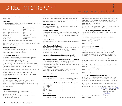## DIRECTORS' REPORT

For the year ended 31 March 2011

Your directors present their report on the company for the financial year ended 31 March 2011.

### **Directors**

The names and qualifications/experience of the Directors in office at any time during, or since the end of, the year are:

| Names                                         | Qualification/Experience           |
|-----------------------------------------------|------------------------------------|
| Rodney A. Crompton                            | Farmer                             |
| Frank C. Wommelsdorff                         | <b>Business Consultant-Finance</b> |
| David C. Metcalf Iresigned 2 May 2010)        | Lawyer                             |
| Stephen M. Dobbie                             | <b>Business Manager</b>            |
| Stephen E. Beer                               | Contractor                         |
| Michael B. Kennedy                            | General Manager Facilities         |
| Dennis W. Algie                               | Refired                            |
| Kathleen A.M. Harvey lappointed 21 June 2010) | Geologist/Researcher               |

Directors have been in office since the start of the financial year to the date of this report unless otherwise stated.

### **Principal Activity**

The principal activity of the company in the course of the financial year was that of an Agricultural Society. During the year there were no significant changes in the nature of the Company's activities.

### **Long Term Objectives**

> to promote the development of agricultural, pastoral and horticultural industries in the Australian Capital Territory and the surrounding region. > to conduct exhibitions and competitions for:

(i) agricultural, pastoral and horticultural products;

(ii) arts, crafts, inventions, machinery and techniques used in industry,

> to establish relations, and promote the exchange of views and information, with similar organisations in Australia and in other countries.

> to maintain and grow membership numbers,

> to encourage and provide facilities for research and study in agriculture and related industries,

> to actively encourage youth membership to the Society, and

> to further establish and maintain relationships with the Agricultural and business sector.

### **Short Term Objectives**

> to conduct exhibitions and competitions to develop excellence in:

(i) agricultural, pastoral and horticultural products; and

 (ii) arts, crafts, inventions, machinery and techniques used in industry; and (iii) to encourage, and provide facilities for, research and study in agriculture and related industries.

### **Strategies**

> Continue to undertake a sustained membership drive.

> Actively encourage youth through education seminars and by participating in events such as junior judging.

> Maintain a two way communication flow between the business and agricultural sectors and the Society.

> Manage the staging of the annual ActewAGL Royal Canberra Show, Royal National Poultry Show, Canberra Regional Wine Show, National Olive Oil Show, Dan Murphy's National Wine Show of Australia<sup>TM</sup> and Canberra Times Home, Leisure, Caravan, 4WD & Camping Show.

### **Operating Results**

The operating surplus of the company for the financial year after income tax was \$11,458 (2010) loss of \$13,352).

### **Review of Operation**

A review of the operations of the company during the financial year and the results of those operations show that during the year, the company continued to engage in its principal activity, the results of which are disclosed in the attached financial statements.

### **State of Affairs**

No significant changes in the state of affairs of the company occurred during the financial year.

### **After Balance Date Events**

No matters or circumstances have arisen since the end of the financial year which significantly affected or may significantly affect the operations of the company, the results of those operations or the state of affairs of the company in future financial years.

### **Likely Developments and Expected Results**

The Company does not propose to change any of its operations in the future.

### **Indemnification and Insurance of Directors and Officers**

During or since the financial year, the company has paid premiums in respect of a contract insuring all the directors of The Royal National Capital Agricultural Society (the Society) against costs incurred in defending proceedings for conduct involving:

a) A wilful breach of dutu; or

b) A contravention of sections 182 or 183 of the Corporations Act 2001, as permitted by section 199B of the Corporations Act 2001.

The total amount of insurance contract premiums paid was \$100 (2010: \$100).

### **Directors' Meetings**

The numbers of meetings of directors held during the year and the number of meetings attended by each director were as follows:

|                       | No. Meetings held while in office Meeting attended |    |
|-----------------------|----------------------------------------------------|----|
| Rodney A. Crompton    |                                                    |    |
| Frank C. Wommelsdorff |                                                    |    |
| David C. Metcalf      |                                                    |    |
| Stephen M. Dobbie     |                                                    |    |
| Stephen E. Beer       |                                                    |    |
| Michael B. Kennedy    |                                                    | Н  |
| Dennis W. Algie       |                                                    | 10 |
| Kathleen A. M. Harvey |                                                    |    |
|                       |                                                    |    |

### **Director's Benefit**

No Director of the Company has, since the beginning of the financial

year, received or has become entitled to receive a benefit other than a remuneration benefit shown in the accounts, or because of a contract that the Director, firm of which the Director is a member, or an entity in which the Director has a financial interest, has made (during the year ended 31 March 2011 or at any other time) with

> The Director, or

> An entity that the Company controlled when the contract was made or when the Director received, or became entitled to receive, the benefit.

### **Auditor's Independence Declaration**

The lead auditor's independence declaration for the year ended 31 March 2011 has been received and can be found in page 6.

Signed in accordance with a resolution of the Board of Directors.

Director

Dated this 18 of May 2011

### **Directors Declaration**

The directors of the company declare that:

1. the financial statements and notes, as set out on pages 9 to 21, present fairly the company's financial position as at 31 March 2011 and its performance for the year ended on that date in accordance with the accounting policies described in Note 1 to the financial statements; and

2. in the directors' opinion there are reasonable grounds to believe that the company will be able to pay its debts as and when they become due and payable.

This declaration is made in accordance with a resolution of the Board of Directors.

**Director** 

Dated this 18 of May 2011

### **Auditor's Independence Declaration**

As lead auditor for the audit of the financial report of the Royal National Capital Agricultural Society for the year ended 31 March 2011, I declare that to the best of my knowledge and belief, there have been no contraventions of:

(i) the auditor independence requirements of the *Corporations Act 2001* in relation to the audit; and

(ii) any applicable code of professional conduct in relation to the audit.<br>RSM River Company Reserved

**RSM Bird Cameron Partners**

Chartered Accountants



Canberra, Australian Capital Territory G M Stenhouse Dated: 18 May 2011 Partner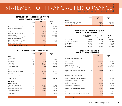# STATEMENT OF FINANCIAL PERFORMANCE

### **Statement of Comprehensive Income for the Year ended 31 March 2011**

|                                         | <b>NOTE</b> | 2011<br>\$  | 2010        |
|-----------------------------------------|-------------|-------------|-------------|
|                                         |             |             |             |
| Revenue from ordinary activities        | 3           | 3.292.369   | 3.024.150   |
| Unrealised investment income            |             |             | 110.296     |
|                                         |             |             |             |
| Staffing costs                          |             | (833.547)   | (7.36.891)  |
| Depreciation and amortisation           | 4           | (205.576)   | (209.935)   |
| Show expenses                           |             | (2.011.006) | (2.037.072) |
| Other expenses from ordinary activities |             | (170.908)   | (161.557)   |
| Unrealised investment loss              |             | (14.320)    |             |
| Realised loss on sale of investments    |             | (45.554)    | (2.343)     |
| Net Surplus / (Loss) for the Year       |             | 11.458      | (13.352)    |
| Other comprehensive Income              |             |             |             |
| Total Comprehensive Income for the Year |             | 11.458      | (13.352)    |

### **BALANCE SHEET AS AT 31 MARCH 2011**

|                                  | <b>NOTE</b>    | 2011<br>\$ | 2010<br>\$ |
|----------------------------------|----------------|------------|------------|
| <b>ASSETS</b>                    |                |            |            |
| <b>Current Assets</b>            |                |            |            |
| Cash assets                      | 9(a)           | 63.818     | 72.381     |
| Investments                      | 8              | 773.077    | 667.899    |
| Trade debtors                    | ĥ              | 139,296    | 132.683    |
| Other assets                     | $\overline{7}$ | 105.994    | 95.547     |
| <b>Total Current Assets</b>      |                | 1.082.185  | 968.510    |
| Non-Current Assets               |                |            |            |
| Property, plant and equipment    | 10             | 429.167    | 462.915    |
| Intangibles                      | 11             | 256,000    | 384.000    |
| <b>Total Non-Current Assets</b>  |                | 685.167    | 846.915    |
| <b>TOTAL ASSETS</b>              |                | 1.767.352  | 1.815.425  |
| <b>LIABILITIES</b>               |                |            |            |
| <b>Current Liabilities</b>       |                |            |            |
| Trade and other payables         | 12             | 142.548    | 257.920    |
| Income in advance                | 13             | 90.278     | 49.870     |
| Provision for employee benefits  | 14             | 76.867     | 61434      |
| <b>Total Current Liabilities</b> |                | 309.693    | 369.224    |
| <b>TOTAL LIABILITIES</b>         |                | 309.693    | 369.224    |
| <b>NET ASSETS</b>                |                | 1,457,659  | 1,446,201  |

| <b>NOTE</b>                            | 2011      | 2010<br>\$ |
|----------------------------------------|-----------|------------|
| <b>EOUITY</b>                          |           |            |
| Society's funds as at 1 April 2010     | 1,446.201 | 1.459.553  |
| Add: Net Surplus / (loss) for the year | 11.458    | (13.352)   |
| <b>TOTAL EOUITY</b>                    | 1457.659  | 1.446.201  |

### **statement of changes in equity for the year ended 31 march 2011**

|                               | Society Retained<br>Earnings | Contingency Fund | <b>Total Equity</b> |
|-------------------------------|------------------------------|------------------|---------------------|
| At 1 April 2009               | 809.553                      | 650,000          | 1.459.553           |
| Surplus / (Loss) for the year | (13.352)                     | $\sim$           | (13.352)            |
| At 31 March 2010              | 796.201                      | 650,000          | 1.446.201           |
| Surplus / (Loss) for the year | 11.458                       | $\sim$           | 11.458              |
| At 31 March 2011              | 807.659                      | 650.000          | 1.457.659           |

### **Cash flow statement for the year ended 31 march 2011**

**Note <sup>2011</sup>**

**2010**

|                                                                                                                             | Note | ZUIL<br>\$                                   | ZUIU<br>\$                                   |
|-----------------------------------------------------------------------------------------------------------------------------|------|----------------------------------------------|----------------------------------------------|
| Cash flows from operating activities                                                                                        |      |                                              |                                              |
| Takings, receipts and rent from customers<br>Interest Received<br>Dividends Received<br>Payments to suppliers and employees |      | 3.584.554<br>12.993<br>47.255<br>(3.447.894) | 3.202.590<br>14.259<br>26.140<br>(3.059.852) |
| Net cash flows generated from operating<br>activities                                                                       | 9(h) | 196.908                                      | 183.137                                      |
| Cash flows from investing activities                                                                                        |      |                                              |                                              |
| Purchase of property, plant and equipment<br>Proceeds on sale of property, plant and<br>equipment                           |      | (4.3.8.30)<br>3.410                          | (170.273)<br>332                             |
| Purchase of investments                                                                                                     |      | (383.473)                                    | (233.355)                                    |
| Proceeds on sale of investments                                                                                             |      | 218.422                                      | 171, 273                                     |
| Net cash flows used in investing activities                                                                                 |      | (205.471)                                    | (232.023)                                    |
| Net decrease in cash and cash equivalents                                                                                   |      | (8.56.3)                                     | (48.886)                                     |
| Cash and cash equivalents at beginning of period                                                                            |      | 72.381                                       | 121,267                                      |
| Cash and cash equivalents at end of period                                                                                  | 9(a) | 63.818                                       | 72,381                                       |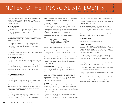# NOTES TO THE FINANCIAL STATEMENTS

### **NOTE 1: STATEMENT OF SIGNIFICANT ACCOUNTING POLICIES**

The financial report is a special purpose financial report prepared in order to satisfy the financial reporting requirements of the Corporations Act 2001. The Board has determined that the company is not a reporting entity.

### **(a) Basis of preparation**

The report has been prepared in accordance with the requirements of the Corporations Act 2001, and the following applicable Australian Accounting Standards and Australian Accounting Interpretations:

 AASB 110: Events After the Balance Date; and AASB 1031: Materiality.

No other Accounting Standards, Accounting Interpretations or other authoritative pronouncements of the Australian Accounting Standards Board have been applied.

The following is a summary of the material accounting policies adopted by the company in the preparation of the financial report. The accounting policies have been consistently applied, unless otherwise stated.

### **(b) Income Tax**

The company is exempt from income tax under Section 50 - 40 of the Income Tax Assessment Act (1997).

### **(c) Cash and cash equivalents**

Cash and cash equivalents in the balance sheet comprise cash on hand, deposits held at call, other short-term highly liquid investments with original maturity of three months or less, and bank overdrafts.

For the purposes of the cash flow statement, cash and cash equivalents consists of cash and cash equivalents as defined above, net of outstanding bank overdrafts. Bank overdrafts are included within interest-bearing loans and borrowing in current liabilities on the balance sheet.

### **(d) Property, plant and equipment**

Fixed assets are carried at cost.

### Plant and equipment

Plant and equipment is depreciated over the estimated useful term commencing from the time the asset is held ready for use.

### Building and leasehold ground improvements

Building and leasehold ground improvements are assets erected on land owned by the National Exhibition Centre Trust and used by the Society under a licence agreement.

### Intangible asset

The Canberra Times Spring Home & Leisure Show (incorporating Caravans, 4WD and Camping) (the Home Show) was acquired in November 2007. The cost is considered a license agreement to

operate the Home Show for a period of five years (5 shows). After this period the license could be extended. As the license is initially for a fixed five year period, the cost is amortised over the five years.

### Depreciation and amortisation

The depreciable amount of all fixed assets including building and capitalised lease assets is depreciated or amortised on a straight line basis over the asset's useful life to the entity commencing from the time the asset is held ready for use. Leasehold improvements are depreciated over the shorter of either the unexpired period of the lease or the estimated useful lives of the improvements.

The estimated useful lives used for each class of depreciable assets are:

> **Class of assets Useful lives** Plant and equipment 5 to 20 years Leasehold improvements 50 years<br>Intangible asset 5 years

The assets' residual values, useful lives and amortisation methods are reviewed, and adjusted if appropriate, at each balance sheet date.

An asset's carruing amount is written down immediately to its recoverable amount if the asset's carrying amount is greater than its estimated recoverable amount.

Gains and losses on disposals are determined by comparing proceeds with the carrying amount. These gains or losses are included in the income statement. When revalued assets are sold, amounts included in the revaluation reserve relating to that asset are transferred to retained earnings.

### **(f) Employee Benefits**

Provision is made in respect of the Society's liability for annual leave and long service leave accrued in respect of all employees with greater than 5 years service with the Society.

In addition to industrial award superannuation, the Society made contributions to an employee superannuation fund. Contributions are charged as expenses when incurred. The Society has no legal obligation to cover any shortfall in the fund's obligation to provide benefits to employees on retirement.

### **(g) Leases**

The determination of whether an arrangement is or contains a lease is based on the substance of the arrangement and requires an assessment of whether the fulfilment of the arrangement is dependent on the use of a specific asset or assets and the arrangement conveus a right to use the asset

Finance leases, which transfer to the company substantially all the risks and benefits incidental to ownership of the leased item, are capitalised at the inception of the lease at the fair value of the leased asset or, if lower, at the present value of the minimum lease payments. Lease payments are apportioned between the finance charges and reduction of the lease liability so as to achieve a constant rate of interest on the remaining balance of the liability. Finance charges are recognised as an expense in the profit or loss.

Capitalised leased assets are depreciated over the shorter of the estimated useful life of the asset and the lease term if there is no reasonable certainty that the company will obtain ownership by the end of the lease term.

Operating lease payments are recognised as an expense in the income statement on a straight-line basis over the lease term.

### **(h) Comparative Figures**

Where necessary comparative figures have been adjusted to conform with changes in presentation in the current year.

### **(i) Revenue Recognition**

Revenue is recognised and measured at the fair value of the consideration received or receivable to the extent that it is probable that the economic benefits will flow to the entity and the revenue can be reliably measured. The following specific recognition criteria must also be met before revenue is recognised.

Revenue from shows is recognised at the point of delivery as this corresponds to the transfer of significant risks and rewards of ownership of the goods and the cessation of all involvement in those goods.

Membership subscription revenue is recognised on a basis that reflects the timing, nature and value of benefits provided.

Dividend revenue for investment accounts is recognised when the right to receive dividends has been established.

Interest revenue is recognized as interest accrues using the effective interest method.

All revenue stated net of the amount of goods and services tax (GST).

Income in advance is deferred in the balance sheet until associated expenditure is brought into account in the income statement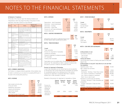# NOTES TO THE FINANCIAL STATEMENTS

#### **(j) Statement of Compliance**

At the date of this financial report the following standards and interpretations, which may impact the entity in the period of initial application, have been issued but not yet effective:

| Reference  | Title                                                                                                  | Summaru                                                                                                                                                                                                                                                                                                                                     | Application date<br>(financial uears<br>beginning) | <b>Expected Impact</b> |
|------------|--------------------------------------------------------------------------------------------------------|---------------------------------------------------------------------------------------------------------------------------------------------------------------------------------------------------------------------------------------------------------------------------------------------------------------------------------------------|----------------------------------------------------|------------------------|
| AASR 9     | Financial Instruments                                                                                  | Replaces the requirements of AASB 139<br>for the classification and measurement of<br>financial assets. This is the result of the<br>first part of Phase 1 of the IASB's project<br>to replace IAS 39.                                                                                                                                      | 1 January 2013                                     | Minimal impact         |
| 2009-11    | Amendments to<br>Australian Accounting<br>AASB 9                                                       | Amends AASB 1, 3, 4, 5, 7, 101, 102, 108,<br>112. 118. 121. 127. 128. 131. 132. 136. 139.<br>Standards arising from 1023 and 1038 and Interpretations<br>10 and 12 as a result of the issuance<br>of AASB 9                                                                                                                                 | 1 lanuaru 2013                                     | Minimal impact         |
| $2010 - 7$ | Amendments to<br>Australian Accounting<br>AASB 9 (December<br>20101                                    | Amends AASB 1, 3, 4, 5, 7, 101, 102, 108.<br>112. 118. 120. 121. 127. 128. 131. 132. 136. 137.<br>Standards arising from 139, 1023 & 1038 and Interpretations 2, 5,<br>10 12 19 & 127 for amendments to AASB<br>9 in December 2010                                                                                                          | 1 January 2013                                     | Minimal impact         |
| 2009-10    | Amendments to<br>Australian Accounting<br>Standards -<br>Classification of<br>Rights Issues            | Amends AASB 132 to clarify the<br>requirements for classification of rights.<br>ontions and warrants.                                                                                                                                                                                                                                       | 1 February 2010                                    | Minimal impact         |
|            | AASB 124 Related Partu<br><b>Disclosures</b>                                                           | Revised standard. The definition of a<br>related party is simplified to clarify<br>its intended meaning and eliminate<br>inconsistencies from the application of<br>the definition                                                                                                                                                          | 1 January 2011                                     | Disclosure onlu        |
| 2009-12    | Amendments to<br>Australian Accounting<br>Standards                                                    | Amends AASB 8 Operating Segments as<br>a result of the revised AASB 124. Amends<br>AASB 5, 108, 110, 112, 119, 133, 137, 139,<br>1023 & 1031 and Interpretations 2. 4. 16.<br>1039 & 1052 as a result of the annual<br>improvement project.                                                                                                 | 1 lanuaru 2011                                     | Minimal impact         |
| $2010 - 2$ | Amendments to<br>Australian Accounting<br>Standards arising from<br>Reduced Disclosure<br>Requirements | This Standard gives effect to Australian<br>Accounting Standards - Reduced<br>Disclosure Requirements and amends<br>AASB 1, 2, 3, 5, 7, 8, 101, 102, 107, 108, 110,<br>111, 112, 116, 117, 119, 121, 123, 124, 127, 128,<br>131. 133. 134. 136. 137. 138. 140. 141. 1050<br>& 1052 and Interpretations 2, 4, 5, 15, 17,<br>127, 129 & 1052. | 1 Iulu 2013                                        | Minimal impact         |

### **NOTE 2: MEMBERS UNDERTAKING**

The Society is a company limited by guarantee. Voting members may be liable to contribute up to an amount not exceeding \$1.00 each in the event of the Society being wound up.

### **NOTE 3: REVENUE**

|                                           | 2011<br>\$ | 2010<br>\$ |
|-------------------------------------------|------------|------------|
| Gate receipts and entry fees              | 1.269.216  | 1.144.608  |
| Hiring and rentals                        | 1.193.418  | 1.149.274  |
| Membership subscriptions                  | 43.245     | 41.698     |
| Interest and distributions                | 66.104     | 35.053     |
| Sponsorship receipts                      | 380.051    | 344.150    |
| Other receipts                            | 336.927    | 309.035    |
| Gain (Loss) on sale of fixed assets       | 3.408      | 332        |
| Total revenues from continuing operations | 3.292,369  | 3.024.150  |

### **NOTE 4: EXPENSES**

|                                        | ZUIL    | zulu    |
|----------------------------------------|---------|---------|
|                                        |         |         |
| Depreciations - plant & equipment      | 57,718  | 62.076  |
| Amortisation - ground improvement      | 4.590   | 4.590   |
| Amortisation - buildings               | 15,270  | 15.269  |
| Amortisation - Home Show               | 128,000 | 128,000 |
| Provision for staff leave entitlements | 15.433  | (9.076) |
| Ground rental costs                    | 211.971 | 210.070 |

**2011**

**2010**

### **NOTE 5: AUDITORS' REMUNERATION**

|                                                                                                                  |             | 2011<br>\$ | 2010<br>\$ |
|------------------------------------------------------------------------------------------------------------------|-------------|------------|------------|
| Remuneration of the auditor for auditing the financial report<br>No other benefits were received by the auditor. |             | 8.200      | 7.700      |
| NOTE 6: TRADE RECEIVABLES                                                                                        |             |            |            |
|                                                                                                                  | 2011.<br>\$ |            | 2010<br>\$ |
| Current                                                                                                          |             |            |            |
| Trade receivables                                                                                                | 62.804      |            | 50.954     |
| Provision for impairment of receivables                                                                          | (9.758)     |            | (6.129)    |

### Commercial receivables 1990 11 120 4,748 4,748 Provision for impairment of commercial receivable (4,748) GST receivable 74,052 76,744

139,296 132,683 Trade debtors are to be settled within 30 days and are carried at amounts due. The collectability of debts is assessed at balance date and specific provision is made for any doubtful accounts.

Franking credit receivable 12,198 6,366

### **Provision for Impairment of Receivables**

Current trade receivables are non-interest bearing and are generally on 30 day terms. Non-current trade and term receivables are assessed for recoverability based on the underlying terms of the contract. A provision for impairment is recognised when there is objective evidence that a trade receivable is impaired.

Movement in the provision for impairment of receivables as follows:

|                                                            | Opening<br>Balance<br>1 April 2010 | Charge for<br>the Year | Amounts<br>Written<br>Off | Closing<br>Balance<br>31 March 2011 |
|------------------------------------------------------------|------------------------------------|------------------------|---------------------------|-------------------------------------|
| Provision for<br>impairment of<br>commercial<br>receivable |                                    | 4.748                  |                           | 4.748                               |
| Provision for<br>impairment of<br>receivables              | 6.129                              | 9.758                  | (6.129)                   | 9.758                               |
|                                                            | 6.129                              | 14.506                 | (6.129)                   | 14.506                              |

### **NOTE 7: OTHER RECEIVABLES**

|                  | 2011<br>\$ | 2010   |
|------------------|------------|--------|
| Current          |            |        |
| Prepayments      | 86.136     | 79.677 |
| Accrued interest | 5.856      |        |
| Barter Card      | 14.002     | 15,870 |
|                  | 105.994    | 95.547 |
|                  |            |        |

### **NOTE 8: INVESTMENTS**

|              | 2011<br>\$ | 2010    |
|--------------|------------|---------|
| Current      |            |         |
| Shares       | 573.077    | 584.793 |
| Hunter Hall  |            | 83.106  |
| Term deposit | 200,000    |         |
|              | 773,077    | 667.899 |

### **NOTE 9: CASH AND CASH EQUIVALENTS**

|                            | 2011<br>\$ | 2010   |
|----------------------------|------------|--------|
| (a) Reconciliation of cash |            |        |
| Cash balance comprises:    |            |        |
| Cash on hand               | 300        | 300    |
| Cash at bank               | 63.518     | 72.081 |
| Closing cash balance       | 63.818     | 72.381 |
|                            | .          |        |

Cash at bank earns interest at floating rates based on daily bank deposit rates.

#### **(b) Reconciliation of net profit / (loss) after tax to net cash flows from operations**

| Operating surplus / (loss)                            | (740)    | (13.352)  |
|-------------------------------------------------------|----------|-----------|
| Add / subtract non cash items:                        |          |           |
| Depreciation                                          | 77.576   | 81935     |
| Amortisation - Buildings / Home Show Licence          | 128,000  | 128,000   |
| Loss / (Gain) on revaluation of investments           | 74.319   | (110.296) |
| Loss / (Gain) on disposal of investments              | (14.446) | 2.343     |
| (Gain) / loss on sale of asset                        | (3.409)  |           |
| Movement in current assets and liabilities:           |          |           |
| (Increase) / decrease in Trade receivables and        | (4.862)  | 84.857    |
| prepayments                                           |          |           |
| Increase / (decrease) in Trade and other              | (99.938) | 90.395    |
| payables                                              |          |           |
| Increase / (decrease) in Income in advance            | 40.408   | (80.745)  |
| Net cash flows generated from operating<br>activities | 196.908  | 183.137   |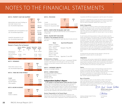# NOTES TO THE FINANCIAL STATEMENTS

### **NOTE 10: PROPERTY, PLANT AND EQUIPMENT**

|                                         | 2011      | 2010      |
|-----------------------------------------|-----------|-----------|
|                                         | \$        | \$        |
| Administration and council buildings on | 508.956   | 508.956   |
| land under licence at cost              |           |           |
| Less: Accumulated depreciation          | (299.687) | (284.417) |
|                                         | 209.269   | 224.539   |
|                                         |           |           |
| Expendable plant and equipment at cost  | 1.041.351 | 1.003.877 |
| Less: Accumulated depreciation          | (851.358) | (799.996) |
|                                         | 189.993   | 203.881   |
|                                         |           |           |
| Leasehold improvements at cost          | 229.513   | 229.513   |
| Less: Accumulated depreciation          | (199.608) | (195.018) |
|                                         | 29.905    | 34.495    |
| Total property, plant and equipment     | 429.167   | 462.915   |

### **Movement in Property, Plant and Equipment**

|                                      | Balance | Opening Additions | Disposals/<br>Write Off's | Depreciation<br>Expense | Closing<br>Balance |
|--------------------------------------|---------|-------------------|---------------------------|-------------------------|--------------------|
|                                      | S       | \$                |                           |                         |                    |
| Administration &<br>Council Building | 224.539 |                   |                           | (15.270)                | 209.269            |
| Plant and Equipment                  | 203.881 | 43.830            | ×,                        | (57.718)                | 189.993            |
| Leasehold                            | 34.495  |                   | ٠                         | (4.590)                 | 29.905             |
| Improvements                         |         |                   |                           |                         |                    |

#### **Total 462,915 43,830 - (77,578) 429,167**

### **NOTE 11: INTANGIBLES**

|                                | 2011<br><b>S</b> | 2010      |
|--------------------------------|------------------|-----------|
| Home Show Licence at cost      | 640.000          | 640.000   |
| Less: Accumulated depreciation | (384.000)        | (256.000) |
|                                | 256,000          | 384.000   |
|                                |                  |           |

### **NOTE 12: TRADE AND OTHER PAYABLES**

|                 | 2011<br>\$ | 2010    |
|-----------------|------------|---------|
| Current         |            |         |
| Trade payables  | 76,227     | 212.175 |
| Accrued expense | 32.599     | 17.233  |
| Other payables  | 33.722     | 28.512  |
|                 | 142.548    | 257,920 |

### **NOTE 13: INCOME IN ADVANCE**



#### **NOTE 14: PROVISIONS**



### **NOTE 15: EVENTS AFTER THE BALANCE SHEET DATE**

There have been no significant events that have occurred subsequent to 31 March 2011.

### **NOTE 16: RELATED PARTY DISCLOSURE**

### **(a) Details of key management personnel**

The Directors of the Royal National Capital Agricultural Society during the year were:

| <b>Names</b>                | Appointment/Resignation |
|-----------------------------|-------------------------|
| Rodney A. Crompton          |                         |
| Frank C <i>Wommelsdorff</i> |                         |
| David C. Metcalf            | Resigned: 2 May 2010    |
| Stephen M. Dobbie           |                         |
| Stephen E. Beer             |                         |
| Michael B. Kennedy          |                         |
| Dennis W. Algie             |                         |
| Kathleen A. M. Harvey       | Appointed: 21 June 2010 |

### **(b) Remuneration of Directors**

Mr Rodney A. Crompton (\$2,500) and Mr Frank C. Wommelsdorff (\$1,500) received a small honorarium during the year to cover out of pocket expenses incurred whilst carrying out their duties as officers of the company.

### **NOTE 17: CONTINGENT LIABILITIES**

There are no contingent liabilities.

#### **NOTE 18: COMPANY DETAILS**

The registered office of the company is: Exhibition Park in Canberra Flemington Road MITCHELL ACT 2911

### **Independent Auditor's Report**

**To the members of the Royal National Capital Agricultural Society** We have audited the accompanying financial report, being a special purpose financial report, of the Royal National Capital Agricultural Society ("the company"), which comprises balance sheet as at 31 March 2011, the statement of comprehensive income, statement of changes in equity and cash flow statement for the year then ended, notes comprising a summary of significant accounting policies and other explanatory notes and the directors' declaration.

### **Directors' Responsibility for the Financial Report**

The directors of the company are responsible for the preparation of the financial report and have determined that the basis of preparation described in Note 1 to the financial report is appropriate to meet the requirements of the *Corporations Act 2001* and are appropriate to meet the needs of the members.

The directors' responsibility also includes such internal control as the directors determine is necessary to enable the preparation of a financial report that is free from material misstatement, whether due to fraud or error.

#### **Auditor's Responsibility**

Our responsibility is to express an opinion on the financial report based on our audit. We conducted our audit in accordance with Australian Auditing Standards. Those standards require that we complu with relevant ethical requirements relating to audit engagements and plan and perform the audit to obtain reasonable assurance whether the financial report is free from material misstatement.

An audit involves performing procedures to obtain audit evidence about the amounts and disclosures in the financial report. The procedures selected depend on the auditor's judgement, including the assessment of the risks of material misstatement of the financial report, whether due to fraud or error. In making those risk assessments, the auditor considers internal control relevant to the entity's preparation of the financial report that gives a true and fair view in order to design audit procedures that are appropriate in the circumstances, but not for the purpose of expressing an opinion on the effectiveness of the entity's internal control. An auditor also includes evaluating the appropriateness of accounting policies used and the reasonableness of accounting estimates made by the directors, as well as evaluating the overall presentation of the financial report.

We believe that the audit evidence we have obtained is sufficient and appropriate to provide a basis for our audit opinion.

#### **Independence**

In conducting our audit, we have complied with the independence requirements of the *Corporations Act 2001*. We confirm that the independence declaration required by the *Corporations Act 2001*, which has been given to the directors of the Royal National Capital Agricultural Society, would be in the same terms if given to the directors as at the time of this auditor's report.

#### **Opinion**

In our opinion the financial report of the Royal National Capital Agricultural Society is in accordance with the Corporations Act 2001, including; (a) giving a true and fair view of the company's financial position as at 31 March 2011 and of its performance for the year ended on that date; and (b) compluing with Australia Accounting Standards to the extent described in Note 1 and the Corporations Regulations 2001

#### **Basis of Accounting**

Without modifuing our opinion, we draw attention to Note 1 to the financial report, which describes the basis of accounting. The financial report has been prepared for the purpose of fulfilling the directors' financial reporting responsibilities under the Corporations Act 2011. As a result, the financial report may not be suitable for another purpose.

RSM *Bird Co*lmeron *Rutner*s

 **RSM Bird Cameron Partners** Chartered Accountants



Canberra, Australian Capital Territory G M Stenhouse Dated: 18 May 2011 Partner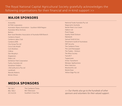## The Royal National Capital Agricultural Society gratefully acknowledges the following organisations for their financial and in-kind support >>

## **MAJOR SPONSORS**

ActewAGL ACTEW Corporation Australian Alpaca Association - Southern NSW Region Australian Wine Archives Barlens Boer Goat Breeders Association of Australia NSW Branch Canberra Airport Canberra Labor Club Canberra Milk City Group Pty Ltd Coca-Cola Amatil Corti Brothers Cr8tive Dan Murphy's Dogtainers Elders Ltd Exhibition Park Corporation Fujitsu Australia Ltd Goodman Fielders J McCarthy & Co Pty Ltd Landmark Manidis Roberts Minter Ellison

National Foods Australia Pty Ltd Negociants Australia Nestle Peter's Ice Cream Oakton Ltd Plush Puppy Quality Hotel Dickson Rabobank Samuel Smith & Son Showmen's Guild of Australasia SNP Security The Canberra Times The Land Newspaper The Tradies - Dickson The Wine Society TransACT **Tupperware** Vintec Transtherm Westpac Agribusiness Wine Selectors Woolworths Ltd Workin'Gear Yellow Edge Pty Ltd

## **Media SPONSORS**

FM 104.7 Mix 106.3 2CC & 2CA The Canberra Times Win Television Southern Cross Ten

*>> Our thanks also go to the hundreds of other sponsors and volunteers for their valued support.*